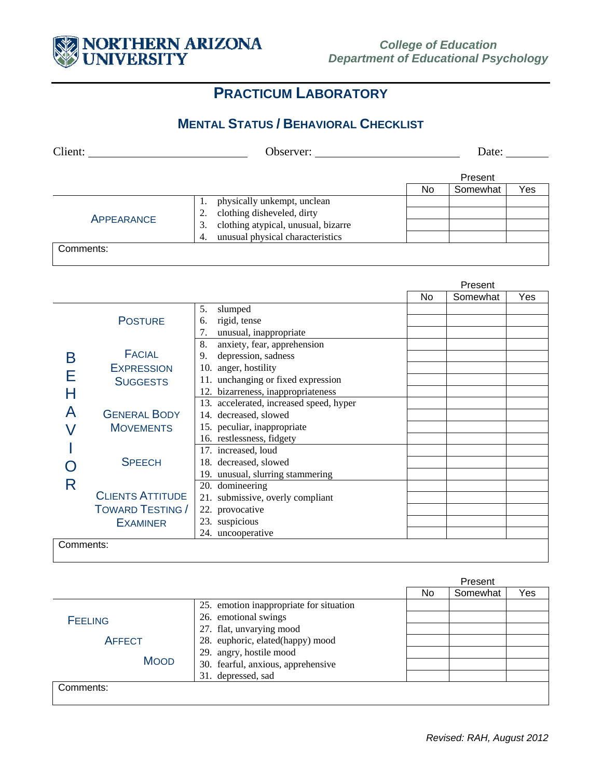

## **PRACTICUM LABORATORY**

## **MENTAL STATUS / BEHAVIORAL CHECKLIST**

| Client:           | Observer:                                 | Date: |          |     |
|-------------------|-------------------------------------------|-------|----------|-----|
|                   |                                           |       | Present  |     |
|                   |                                           | No    | Somewhat | Yes |
|                   | physically unkempt, unclean               |       |          |     |
| <b>APPEARANCE</b> | clothing disheveled, dirty<br>2.          |       |          |     |
|                   | clothing atypical, unusual, bizarre<br>3. |       |          |     |
|                   | unusual physical characteristics<br>4.    |       |          |     |
| Comments:         |                                           |       |          |     |

|           |                                         |                                         | Present |          |     |
|-----------|-----------------------------------------|-----------------------------------------|---------|----------|-----|
|           |                                         |                                         | No      | Somewhat | Yes |
| Β         |                                         | 5.<br>slumped                           |         |          |     |
|           | <b>POSTURE</b>                          | rigid, tense<br>6.                      |         |          |     |
|           |                                         | 7.<br>unusual, inappropriate            |         |          |     |
|           | <b>FACIAL</b>                           | 8.<br>anxiety, fear, apprehension       |         |          |     |
|           |                                         | depression, sadness<br>9.               |         |          |     |
|           | <b>EXPRESSION</b>                       | 10. anger, hostility                    |         |          |     |
|           | <b>SUGGESTS</b>                         | 11. unchanging or fixed expression      |         |          |     |
|           |                                         | 12. bizarreness, inappropriateness      |         |          |     |
|           | <b>GENERAL BODY</b><br><b>MOVEMENTS</b> | 13. accelerated, increased speed, hyper |         |          |     |
|           |                                         | 14. decreased, slowed                   |         |          |     |
|           |                                         | 15. peculiar, inappropriate             |         |          |     |
|           |                                         | 16. restlessness, fidgety               |         |          |     |
|           |                                         | 17. increased, loud                     |         |          |     |
|           | <b>SPEECH</b>                           | 18. decreased, slowed                   |         |          |     |
|           |                                         | 19. unusual, slurring stammering        |         |          |     |
| R         |                                         | 20. domineering                         |         |          |     |
|           | <b>CLIENTS ATTITUDE</b>                 | 21. submissive, overly compliant        |         |          |     |
|           | TOWARD TESTING /                        | 22. provocative                         |         |          |     |
|           | <b>EXAMINER</b>                         | 23. suspicious                          |         |          |     |
|           |                                         | 24. uncooperative                       |         |          |     |
| Comments: |                                         |                                         |         |          |     |
|           |                                         |                                         |         |          |     |

|                |                                         | Present |          |     |
|----------------|-----------------------------------------|---------|----------|-----|
|                |                                         | No      | Somewhat | Yes |
|                | 25. emotion inappropriate for situation |         |          |     |
| <b>FEELING</b> | 26. emotional swings                    |         |          |     |
|                | 27. flat, unvarying mood                |         |          |     |
| <b>AFFECT</b>  | 28. euphoric, elated(happy) mood        |         |          |     |
|                | 29. angry, hostile mood                 |         |          |     |
| <b>MOOD</b>    | 30. fearful, anxious, apprehensive      |         |          |     |
|                | 31. depressed, sad                      |         |          |     |
| Comments:      |                                         |         |          |     |
|                |                                         |         |          |     |